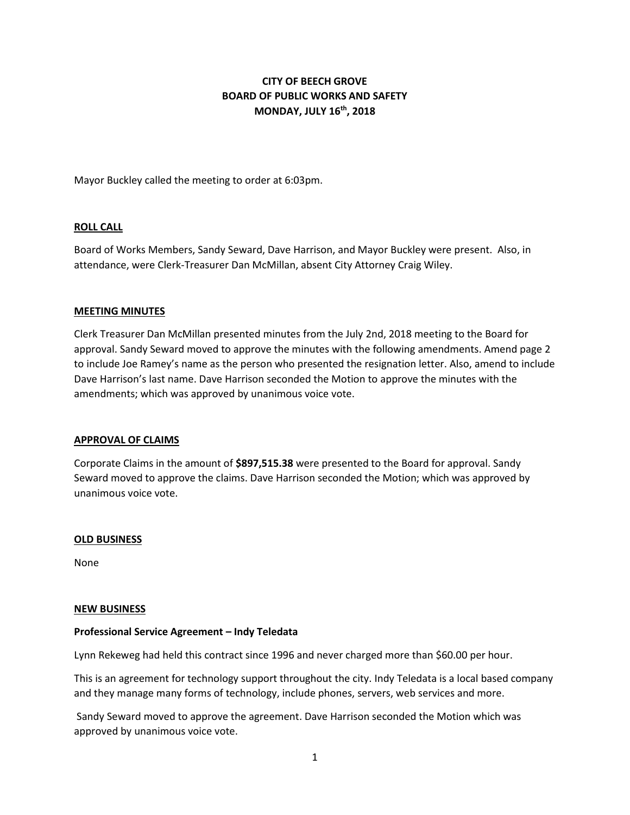# **CITY OF BEECH GROVE BOARD OF PUBLIC WORKS AND SAFETY MONDAY, JULY 16th, 2018**

Mayor Buckley called the meeting to order at 6:03pm.

## **ROLL CALL**

Board of Works Members, Sandy Seward, Dave Harrison, and Mayor Buckley were present. Also, in attendance, were Clerk-Treasurer Dan McMillan, absent City Attorney Craig Wiley.

### **MEETING MINUTES**

Clerk Treasurer Dan McMillan presented minutes from the July 2nd, 2018 meeting to the Board for approval. Sandy Seward moved to approve the minutes with the following amendments. Amend page 2 to include Joe Ramey's name as the person who presented the resignation letter. Also, amend to include Dave Harrison's last name. Dave Harrison seconded the Motion to approve the minutes with the amendments; which was approved by unanimous voice vote.

### **APPROVAL OF CLAIMS**

Corporate Claims in the amount of **\$897,515.38** were presented to the Board for approval. Sandy Seward moved to approve the claims. Dave Harrison seconded the Motion; which was approved by unanimous voice vote.

### **OLD BUSINESS**

None

#### **NEW BUSINESS**

### **Professional Service Agreement – Indy Teledata**

Lynn Rekeweg had held this contract since 1996 and never charged more than \$60.00 per hour.

This is an agreement for technology support throughout the city. Indy Teledata is a local based company and they manage many forms of technology, include phones, servers, web services and more.

Sandy Seward moved to approve the agreement. Dave Harrison seconded the Motion which was approved by unanimous voice vote.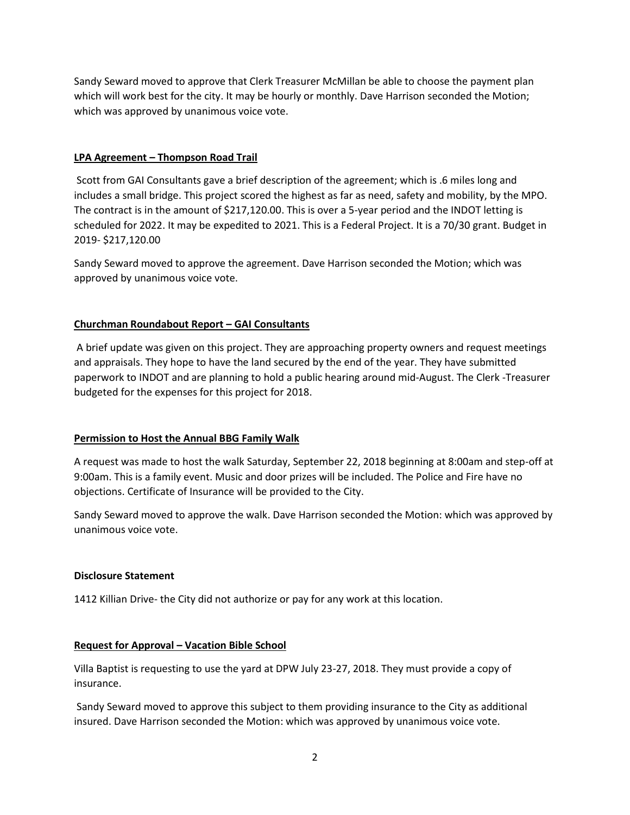Sandy Seward moved to approve that Clerk Treasurer McMillan be able to choose the payment plan which will work best for the city. It may be hourly or monthly. Dave Harrison seconded the Motion; which was approved by unanimous voice vote.

## **LPA Agreement – Thompson Road Trail**

Scott from GAI Consultants gave a brief description of the agreement; which is .6 miles long and includes a small bridge. This project scored the highest as far as need, safety and mobility, by the MPO. The contract is in the amount of \$217,120.00. This is over a 5-year period and the INDOT letting is scheduled for 2022. It may be expedited to 2021. This is a Federal Project. It is a 70/30 grant. Budget in 2019- \$217,120.00

Sandy Seward moved to approve the agreement. Dave Harrison seconded the Motion; which was approved by unanimous voice vote.

## **Churchman Roundabout Report – GAI Consultants**

A brief update was given on this project. They are approaching property owners and request meetings and appraisals. They hope to have the land secured by the end of the year. They have submitted paperwork to INDOT and are planning to hold a public hearing around mid-August. The Clerk -Treasurer budgeted for the expenses for this project for 2018.

## **Permission to Host the Annual BBG Family Walk**

A request was made to host the walk Saturday, September 22, 2018 beginning at 8:00am and step-off at 9:00am. This is a family event. Music and door prizes will be included. The Police and Fire have no objections. Certificate of Insurance will be provided to the City.

Sandy Seward moved to approve the walk. Dave Harrison seconded the Motion: which was approved by unanimous voice vote.

## **Disclosure Statement**

1412 Killian Drive- the City did not authorize or pay for any work at this location.

## **Request for Approval – Vacation Bible School**

Villa Baptist is requesting to use the yard at DPW July 23-27, 2018. They must provide a copy of insurance.

Sandy Seward moved to approve this subject to them providing insurance to the City as additional insured. Dave Harrison seconded the Motion: which was approved by unanimous voice vote.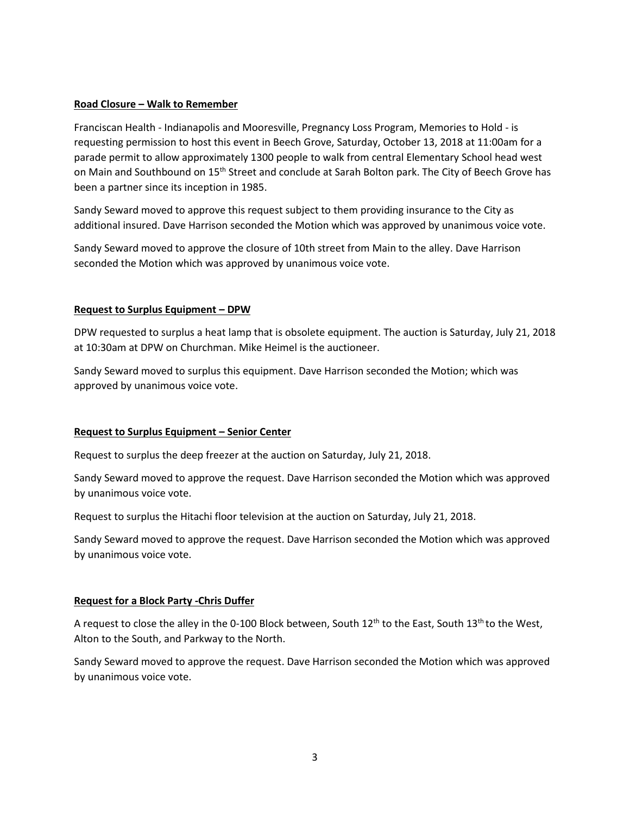## **Road Closure – Walk to Remember**

Franciscan Health - Indianapolis and Mooresville, Pregnancy Loss Program, Memories to Hold - is requesting permission to host this event in Beech Grove, Saturday, October 13, 2018 at 11:00am for a parade permit to allow approximately 1300 people to walk from central Elementary School head west on Main and Southbound on 15<sup>th</sup> Street and conclude at Sarah Bolton park. The City of Beech Grove has been a partner since its inception in 1985.

Sandy Seward moved to approve this request subject to them providing insurance to the City as additional insured. Dave Harrison seconded the Motion which was approved by unanimous voice vote.

Sandy Seward moved to approve the closure of 10th street from Main to the alley. Dave Harrison seconded the Motion which was approved by unanimous voice vote.

## **Request to Surplus Equipment – DPW**

DPW requested to surplus a heat lamp that is obsolete equipment. The auction is Saturday, July 21, 2018 at 10:30am at DPW on Churchman. Mike Heimel is the auctioneer.

Sandy Seward moved to surplus this equipment. Dave Harrison seconded the Motion; which was approved by unanimous voice vote.

## **Request to Surplus Equipment – Senior Center**

Request to surplus the deep freezer at the auction on Saturday, July 21, 2018.

Sandy Seward moved to approve the request. Dave Harrison seconded the Motion which was approved by unanimous voice vote.

Request to surplus the Hitachi floor television at the auction on Saturday, July 21, 2018.

Sandy Seward moved to approve the request. Dave Harrison seconded the Motion which was approved by unanimous voice vote.

## **Request for a Block Party -Chris Duffer**

A request to close the alley in the 0-100 Block between, South  $12<sup>th</sup>$  to the East, South  $13<sup>th</sup>$  to the West, Alton to the South, and Parkway to the North.

Sandy Seward moved to approve the request. Dave Harrison seconded the Motion which was approved by unanimous voice vote.